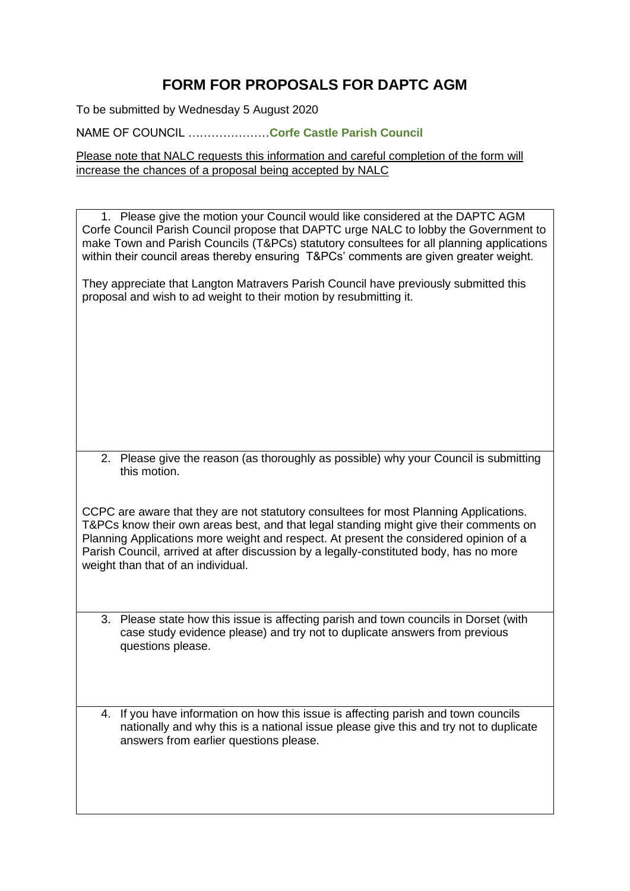## **FORM FOR PROPOSALS FOR DAPTC AGM**

To be submitted by Wednesday 5 August 2020

NAME OF COUNCIL …………………**Corfe Castle Parish Council**

Please note that NALC requests this information and careful completion of the form will increase the chances of a proposal being accepted by NALC

1. Please give the motion your Council would like considered at the DAPTC AGM Corfe Council Parish Council propose that DAPTC urge NALC to lobby the Government to make Town and Parish Councils (T&PCs) statutory consultees for all planning applications within their council areas thereby ensuring T&PCs' comments are given greater weight.

They appreciate that Langton Matravers Parish Council have previously submitted this proposal and wish to ad weight to their motion by resubmitting it.

2. Please give the reason (as thoroughly as possible) why your Council is submitting this motion.

CCPC are aware that they are not statutory consultees for most Planning Applications. T&PCs know their own areas best, and that legal standing might give their comments on Planning Applications more weight and respect. At present the considered opinion of a Parish Council, arrived at after discussion by a legally-constituted body, has no more weight than that of an individual.

- 3. Please state how this issue is affecting parish and town councils in Dorset (with case study evidence please) and try not to duplicate answers from previous questions please.
- 4. If you have information on how this issue is affecting parish and town councils nationally and why this is a national issue please give this and try not to duplicate answers from earlier questions please.